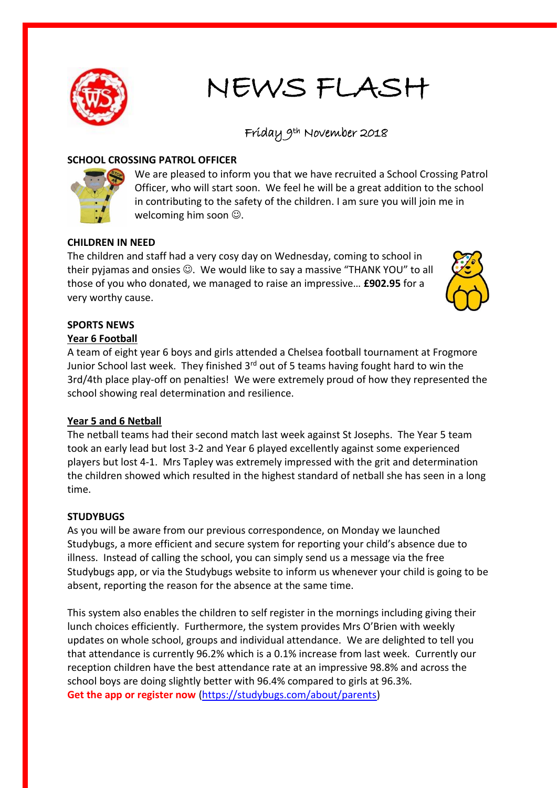

# NEWS FLASH

# Friday 9th November 2018

#### **SCHOOL CROSSING PATROL OFFICER**



We are pleased to inform you that we have recruited a School Crossing Patrol Officer, who will start soon. We feel he will be a great addition to the school in contributing to the safety of the children. I am sure you will join me in welcoming him soon  $\mathbb{O}$ .

## **CHILDREN IN NEED**

The children and staff had a very cosy day on Wednesday, coming to school in their pyjamas and onsies  $\odot$ . We would like to say a massive "THANK YOU" to all those of you who donated, we managed to raise an impressive… **£902.95** for a very worthy cause.



# **SPORTS NEWS**

#### **Year 6 Football**

A team of eight year 6 boys and girls attended a Chelsea football tournament at Frogmore Junior School last week. They finished 3rd out of 5 teams having fought hard to win the 3rd/4th place play-off on penalties! We were extremely proud of how they represented the school showing real determination and resilience.

## **Year 5 and 6 Netball**

The netball teams had their second match last week against St Josephs. The Year 5 team took an early lead but lost 3-2 and Year 6 played excellently against some experienced players but lost 4-1. Mrs Tapley was extremely impressed with the grit and determination the children showed which resulted in the highest standard of netball she has seen in a long time.

#### **STUDYBUGS**

As you will be aware from our previous correspondence, on Monday we launched Studybugs, a more efficient and secure system for reporting your child's absence due to illness. Instead of calling the school, you can simply send us a message via the free Studybugs app, or via the Studybugs website to inform us whenever your child is going to be absent, reporting the reason for the absence at the same time.

This system also enables the children to self register in the mornings including giving their lunch choices efficiently. Furthermore, the system provides Mrs O'Brien with weekly updates on whole school, groups and individual attendance. We are delighted to tell you that attendance is currently 96.2% which is a 0.1% increase from last week. Currently our reception children have the best attendance rate at an impressive 98.8% and across the school boys are doing slightly better with 96.4% compared to girls at 96.3%. **[Get the app or register now](https://studybugs.com/about/parents)** [\(https://studybugs.com/about/parents\)](https://studybugs.com/about/parents)